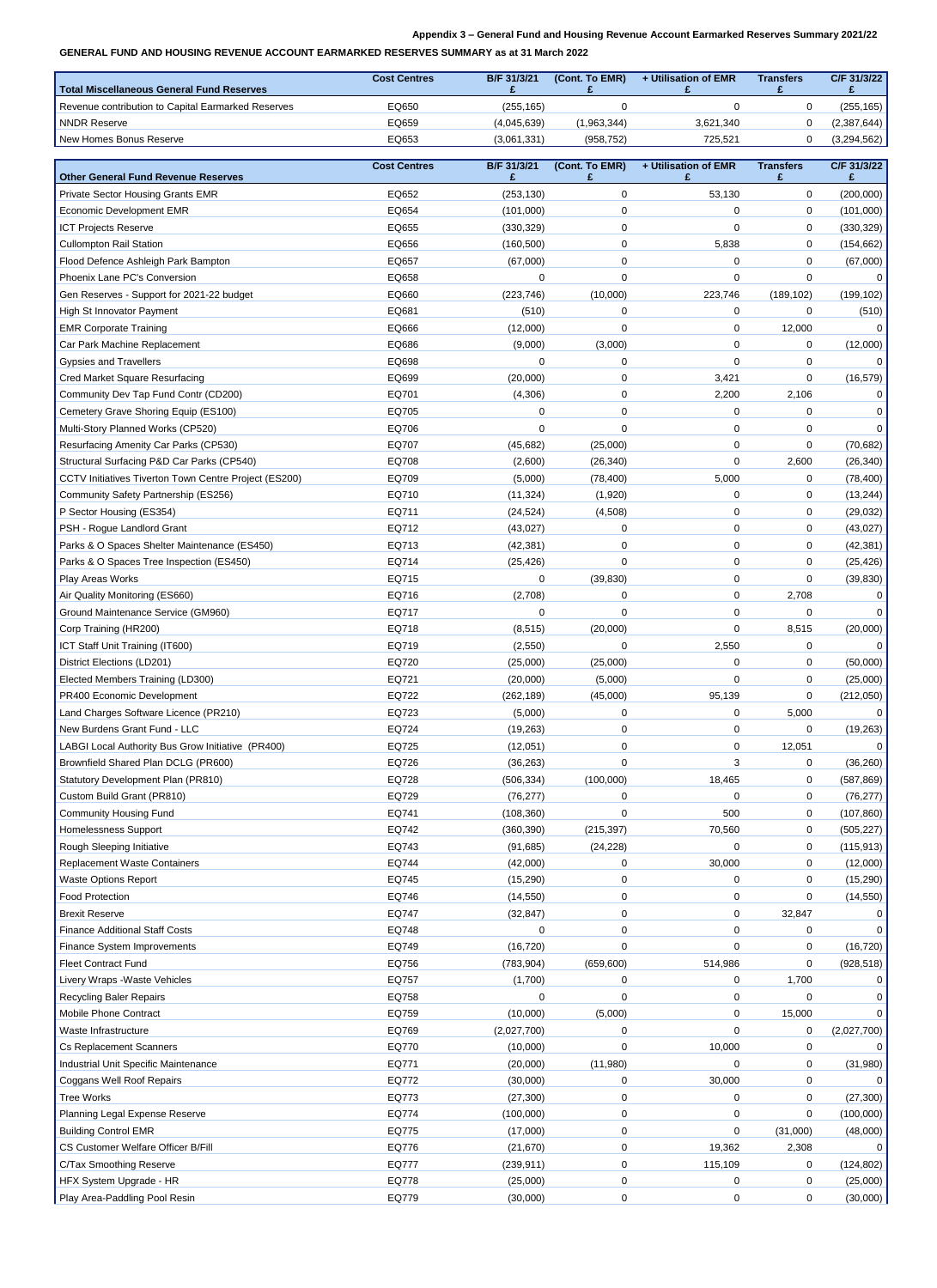## **Appendix 3 – General Fund and Housing Revenue Account Earmarked Reserves Summary 2021/22**

## **GENERAL FUND AND HOUSING REVENUE ACCOUNT EARMARKED RESERVES SUMMARY as at 31 March 2022**

| Total Miscellaneous General Fund Reserves          | <b>Cost Centres</b> | <b>B/F 31/3/21</b> | (Cont. To EMR) | + Utilisation of EMR | <b>Transfers</b> | C/F 31/3/22 |
|----------------------------------------------------|---------------------|--------------------|----------------|----------------------|------------------|-------------|
| Revenue contribution to Capital Earmarked Reserves | EQ650               | (255, 165)         |                |                      |                  | (255,165)   |
| I NNDR Reserve                                     | EQ659               | (4,045,639)        | (1,963,344)    | 3,621,340            |                  | (2,387,644) |
| New Homes Bonus Reserve                            | EQ653               | (3,061,331)        | (958, 752)     | 725,521              |                  | (3,294,562) |

|                                                          | <b>Cost Centres</b> | B/F 31/3/21          | (Cont. To EMR) | + Utilisation of EMR | <b>Transfers</b> | C/F 31/3/22 |
|----------------------------------------------------------|---------------------|----------------------|----------------|----------------------|------------------|-------------|
| <b>Other General Fund Revenue Reserves</b>               |                     |                      |                |                      |                  |             |
| <b>Private Sector Housing Grants EMR</b>                 | EQ652               | (253, 130)           | 0              | 53,130               | $\overline{0}$   | (200,000)   |
| <b>Economic Development EMR</b>                          | EQ654               | (101,000)            | 0              | $\mathbf 0$          | $\overline{0}$   | (101,000)   |
| <b>ICT Projects Reserve</b>                              | EQ655               | (330, 329)           | $\mathbf{0}$   | $\overline{0}$       | $\overline{0}$   | (330, 329)  |
| <b>Cullompton Rail Station</b>                           | EQ656               | (160, 500)           | 0              | 5,838                | $\overline{0}$   | (154, 662)  |
| Flood Defence Ashleigh Park Bampton                      | EQ657               | (67,000)             | $\Omega$       | 0                    | $\Omega$         | (67,000)    |
| Phoenix Lane PC's Conversion                             | EQ658               | 0                    | 0              | $\mathbf 0$          | $\Omega$         |             |
| Gen Reserves - Support for 2021-22 budget                | EQ660               | (223, 746)           | (10,000)       | 223,746              | (189, 102)       | (199, 102)  |
| <b>High St Innovator Payment</b>                         | EQ681               | (510)                | 0              | $\mathbf 0$          | $\Omega$         | (510)       |
| <b>EMR Corporate Training</b>                            | EQ666               | (12,000)             | 0              | $\mathbf 0$          | 12,000           |             |
| Car Park Machine Replacement                             | EQ686               | (9,000)              | (3,000)        | $\mathbf 0$          | 0                | (12,000)    |
| <b>Gypsies and Travellers</b>                            | EQ698               | ∩                    | 0              | $\Omega$             | $\Omega$         |             |
| <b>Cred Market Square Resurfacing</b>                    | EQ699               | (20,000)             | 0              | 3,421                | $\Omega$         | (16, 579)   |
| Community Dev Tap Fund Contr (CD200)                     | EQ701               | (4,306)              | $\Omega$       | 2,200                | 2,106            |             |
| Cemetery Grave Shoring Equip (ES100)                     | EQ705               |                      | 0              | 0                    | $\Omega$         |             |
| Multi-Story Planned Works (CP520)                        | EQ706               |                      |                | $\overline{0}$       | $\Omega$         |             |
| <b>Resurfacing Amenity Car Parks (CP530)</b>             | EQ707               | (45, 682)            | (25,000)       | $\overline{0}$       | $\overline{0}$   | (70, 682)   |
| Structural Surfacing P&D Car Parks (CP540)               | EQ708               | (2,600)              | (26, 340)      | $\mathbf 0$          | 2,600            | (26, 340)   |
| CCTV Initiatives Tiverton Town Centre Project (ES200)    | EQ709               | (5,000)              | (78, 400)      | 5,000                | $\Omega$         | (78, 400)   |
| <b>Community Safety Partnership (ES256)</b>              | EQ710               | (11, 324)            | (1,920)        | $\mathbf 0$          | 0                | (13, 244)   |
| P Sector Housing (ES354)                                 | EQ711               | (24, 524)            | (4,508)        | $\mathbf 0$          | $\mathbf 0$      | (29, 032)   |
| PSH - Rogue Landlord Grant                               | EQ712               | (43, 027)            | $\Omega$       | 0                    | $\overline{0}$   | (43,027)    |
| Parks & O Spaces Shelter Maintenance (ES450)             | EQ713               | (42, 381)            | 0              | $\mathbf 0$          | $\mathbf 0$      | (42, 381)   |
| Parks & O Spaces Tree Inspection (ES450)                 | EQ714               | (25, 426)            | $\overline{0}$ | $\mathbf 0$          | $\mathbf 0$      | (25, 426)   |
| <b>Play Areas Works</b>                                  | EQ715               | 0                    | (39, 830)      | $\mathbf 0$          | $\mathbf 0$      | (39, 830)   |
| Air Quality Monitoring (ES660)                           | EQ716               | (2,708)              | 0              | $\mathbf 0$          | 2,708            |             |
| Ground Maintenance Service (GM960)                       | EQ717               |                      | ∩              | $\mathbf 0$          | $\Omega$         |             |
| Corp Training (HR200)                                    | EQ718               | (8, 515)             | (20,000)       | $\mathbf 0$          | 8,515            | (20,000)    |
| ICT Staff Unit Training (IT600)                          | EQ719               | (2,550)              | 0              | 2,550                | $\overline{0}$   | 0           |
| District Elections (LD201)                               | EQ720               | (25,000)             | (25,000)       | 0                    | $\overline{0}$   | (50,000)    |
| Elected Members Training (LD300)                         | EQ721               | (20,000)             | (5,000)        | $\mathbf 0$          | $\overline{0}$   | (25,000)    |
| PR400 Economic Development                               | EQ722               | (262, 189)           | (45,000)       | 95,139               | $\overline{0}$   | (212,050)   |
| Land Charges Software Licence (PR210)                    | EQ723               | (5,000)              | 0              | $\mathbf 0$          | 5,000            |             |
| New Burdens Grant Fund - LLC                             | EQ724               | (19, 263)            | $\overline{0}$ | $\mathbf 0$          | $\overline{0}$   | (19, 263)   |
| LABGI Local Authority Bus Grow Initiative (PR400)        | EQ725               | (12,051)             | 0              | $\mathbf 0$          | 12,051           |             |
| Brownfield Shared Plan DCLG (PR600)                      | EQ726               | (36, 263)            | $\mathbf 0$    | 3                    | $\overline{0}$   | (36, 260)   |
| <b>Statutory Development Plan (PR810)</b>                | EQ728               | (506, 334)           | (100,000)      | 18,465               | $\overline{0}$   | (587, 869)  |
| Custom Build Grant (PR810)                               | EQ729               | (76, 277)            | 0              | $\mathbf 0$          | $\overline{0}$   | (76, 277)   |
| <b>Community Housing Fund</b>                            | EQ741               | (108, 360)           | 0              | 500                  | $\overline{0}$   | (107, 860)  |
| <b>Homelessness Support</b>                              | EQ742               | (360, 390)           | (215, 397)     | 70,560               | $\overline{0}$   | (505, 227)  |
| <b>Rough Sleeping Initiative</b>                         | EQ743               | (91, 685)            | (24, 228)      | $\mathbf 0$          | $\overline{0}$   | (115, 913)  |
| <b>Replacement Waste Containers</b>                      | EQ744               | (42,000)             | 0              | 30,000               | $\overline{0}$   | (12,000)    |
| <b>Waste Options Report</b>                              | EQ745               | (15, 290)            | O              | $\mathbf 0$          | $\overline{0}$   | (15, 290)   |
| <b>Food Protection</b>                                   | EQ746               | (14, 550)            | 0              | $\overline{0}$       | 0                | (14, 550)   |
| <b>Brexit Reserve</b>                                    | EQ747               | (32, 847)            | 0              | $\overline{0}$       | 32,847           | 0           |
| <b>Finance Additional Staff Costs</b>                    | EQ748               |                      | 0              | 0                    | $\mathbf 0$      | 0           |
| <b>Finance System Improvements</b>                       | EQ749               | (16, 720)            | 0              | $\Omega$             | 0                | (16, 720)   |
| <b>Fleet Contract Fund</b>                               | EQ756               | (783, 904)           | (659, 600)     | 514,986              | $\mathbf 0$      | (928, 518)  |
| Livery Wraps - Waste Vehicles                            | EQ757               | (1,700)              | 0              | $\overline{0}$       | 1,700            |             |
| <b>Recycling Baler Repairs</b>                           | EQ758               |                      | 0              | $\mathbf 0$          | $\Omega$         |             |
| <b>Mobile Phone Contract</b>                             | EQ759               | (10,000)             | (5,000)        | 0                    | 15,000           |             |
| Waste Infrastructure                                     | EQ769               | (2,027,700)          | 0              | $\overline{0}$       | $\mathbf 0$      | (2,027,700) |
| <b>Cs Replacement Scanners</b>                           | EQ770               | (10,000)             | 0              | 10,000               | $\mathbf 0$      | 0           |
| <b>Industrial Unit Specific Maintenance</b>              | EQ771               | (20,000)             | (11,980)       | $\mathbf 0$          | $\overline{0}$   | (31,980)    |
| <b>Coggans Well Roof Repairs</b>                         | EQ772               | (30,000)             | 0              | 30,000               | $\mathbf 0$      |             |
| Tree Works                                               | EQ773               | (27, 300)            | 0              | $\mathbf 0$          | $\overline{0}$   | (27, 300)   |
| Planning Legal Expense Reserve                           | EQ774               | (100,000)            | 0              | $\mathbf 0$          | $\mathbf 0$      | (100,000)   |
| <b>Building Control EMR</b>                              | EQ775               | (17,000)             | 0              | $\mathbf 0$          | (31,000)         | (48,000)    |
| <b>CS Customer Welfare Officer B/Fill</b>                | EQ776               | (21, 670)            | 0              | 19,362               | 2,308            |             |
| <b>C/Tax Smoothing Reserve</b>                           | EQ777               | (239, 911)           | 0              | 115,109              | $\overline{0}$   |             |
|                                                          | EQ778               |                      | $\mathbf 0$    | $\mathbf 0$          | $\overline{0}$   | (124, 802)  |
| HFX System Upgrade - HR<br>Play Area-Paddling Pool Resin | EQ779               | (25,000)<br>(30,000) | 0              | $\overline{0}$       | $\overline{0}$   | (25,000)    |
|                                                          |                     |                      |                |                      |                  | (30,000)    |